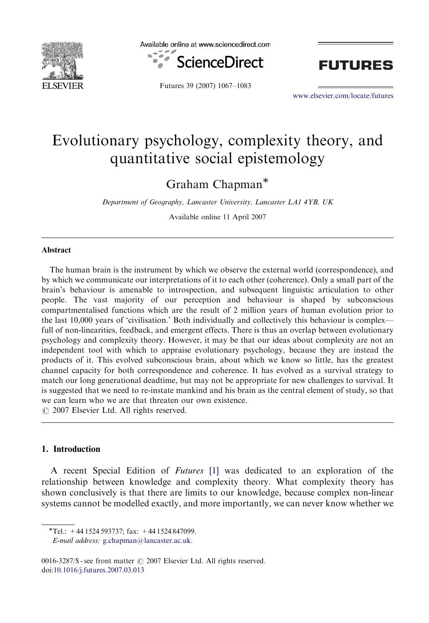

Available online at www.sciencedirect.com



Futures 39 (2007) 1067–1083



<www.elsevier.com/locate/futures>

## Evolutionary psychology, complexity theory, and quantitative social epistemology

Graham Chapman<sup>\*</sup>

Department of Geography, Lancaster University, Lancaster LA1 4YB, UK

Available online 11 April 2007

#### **Abstract**

The human brain is the instrument by which we observe the external world (correspondence), and by which we communicate our interpretations of it to each other (coherence). Only a small part of the brain's behaviour is amenable to introspection, and subsequent linguistic articulation to other people. The vast majority of our perception and behaviour is shaped by subconscious compartmentalised functions which are the result of 2 million years of human evolution prior to the last 10,000 years of 'civilisation.' Both individually and collectively this behaviour is complex full of non-linearities, feedback, and emergent effects. There is thus an overlap between evolutionary psychology and complexity theory. However, it may be that our ideas about complexity are not an independent tool with which to appraise evolutionary psychology, because they are instead the products of it. This evolved subconscious brain, about which we know so little, has the greatest channel capacity for both correspondence and coherence. It has evolved as a survival strategy to match our long generational deadtime, but may not be appropriate for new challenges to survival. It is suggested that we need to re-instate mankind and his brain as the central element of study, so that we can learn who we are that threaten our own existence.

 $\odot$  2007 Elsevier Ltd. All rights reserved.

## 1. Introduction

A recent Special Edition of Futures [\[1\]](#page--1-0) was dedicated to an exploration of the relationship between knowledge and complexity theory. What complexity theory has shown conclusively is that there are limits to our knowledge, because complex non-linear systems cannot be modelled exactly, and more importantly, we can never know whether we

E-mail address: [g.chapman@lancaster.ac.uk.](mailto:g.chapman@lancaster.ac.uk)

0016-3287/\$ - see front matter  $\odot$  2007 Elsevier Ltd. All rights reserved. doi[:10.1016/j.futures.2007.03.013](dx.doi.org/10.1016/j.futures.2007.03.013)

 $\overline{T}$ el.: +44 1524 593737; fax: +44 1524 847099.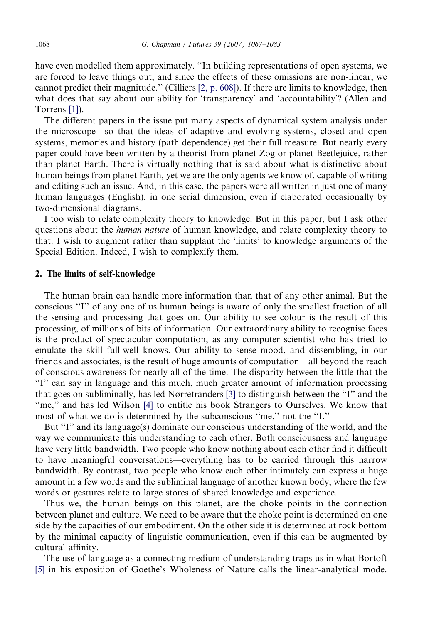have even modelled them approximately. ''In building representations of open systems, we are forced to leave things out, and since the effects of these omissions are non-linear, we cannot predict their magnitude.'' (Cilliers [\[2, p. 608\]](#page--1-0)). If there are limits to knowledge, then what does that say about our ability for 'transparency' and 'accountability'? (Allen and Torrens [\[1\]\)](#page--1-0).

The different papers in the issue put many aspects of dynamical system analysis under the microscope—so that the ideas of adaptive and evolving systems, closed and open systems, memories and history (path dependence) get their full measure. But nearly every paper could have been written by a theorist from planet Zog or planet Beetlejuice, rather than planet Earth. There is virtually nothing that is said about what is distinctive about human beings from planet Earth, yet we are the only agents we know of, capable of writing and editing such an issue. And, in this case, the papers were all written in just one of many human languages (English), in one serial dimension, even if elaborated occasionally by two-dimensional diagrams.

I too wish to relate complexity theory to knowledge. But in this paper, but I ask other questions about the human nature of human knowledge, and relate complexity theory to that. I wish to augment rather than supplant the 'limits' to knowledge arguments of the Special Edition. Indeed, I wish to complexify them.

### 2. The limits of self-knowledge

The human brain can handle more information than that of any other animal. But the conscious ''I'' of any one of us human beings is aware of only the smallest fraction of all the sensing and processing that goes on. Our ability to see colour is the result of this processing, of millions of bits of information. Our extraordinary ability to recognise faces is the product of spectacular computation, as any computer scientist who has tried to emulate the skill full-well knows. Our ability to sense mood, and dissembling, in our friends and associates, is the result of huge amounts of computation—all beyond the reach of conscious awareness for nearly all of the time. The disparity between the little that the ''I'' can say in language and this much, much greater amount of information processing that goes on subliminally, has led Nørretranders [\[3\]](#page--1-0) to distinguish between the ''I'' and the ''me,'' and has led Wilson [\[4\]](#page--1-0) to entitle his book Strangers to Ourselves. We know that most of what we do is determined by the subconscious ''me,'' not the ''I.''

But "I" and its language(s) dominate our conscious understanding of the world, and the way we communicate this understanding to each other. Both consciousness and language have very little bandwidth. Two people who know nothing about each other find it difficult to have meaningful conversations—everything has to be carried through this narrow bandwidth. By contrast, two people who know each other intimately can express a huge amount in a few words and the subliminal language of another known body, where the few words or gestures relate to large stores of shared knowledge and experience.

Thus we, the human beings on this planet, are the choke points in the connection between planet and culture. We need to be aware that the choke point is determined on one side by the capacities of our embodiment. On the other side it is determined at rock bottom by the minimal capacity of linguistic communication, even if this can be augmented by cultural affinity.

The use of language as a connecting medium of understanding traps us in what Bortoft [\[5\]](#page--1-0) in his exposition of Goethe's Wholeness of Nature calls the linear-analytical mode.